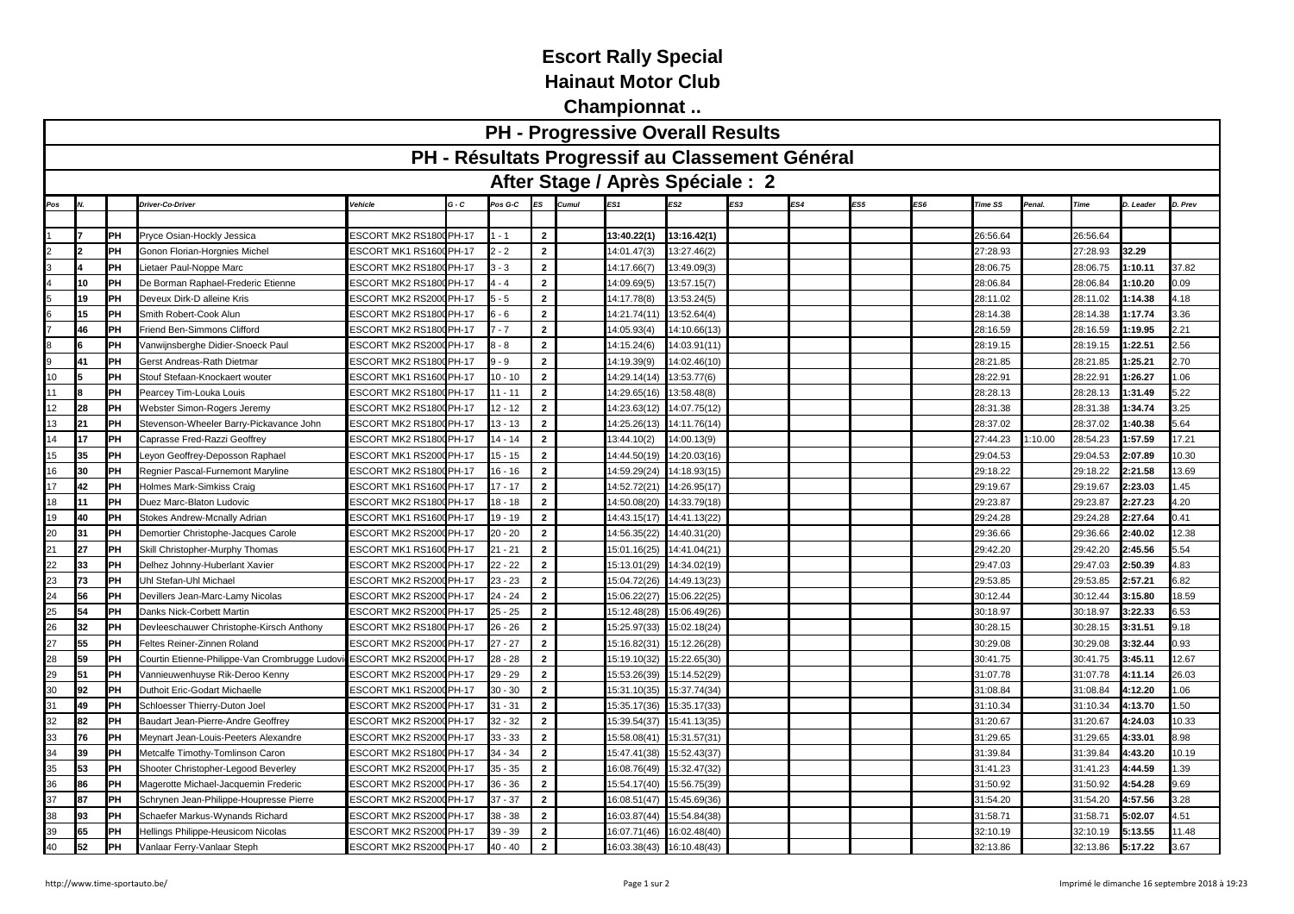## **Escort Rally Special Hainaut Motor Club**

**Championnat ..**

| <b>PH - Progressive Overall Results</b>                    |    |     |                                                |                                |              |           |                |                                  |              |              |     |     |     |     |                |        |             |           |         |
|------------------------------------------------------------|----|-----|------------------------------------------------|--------------------------------|--------------|-----------|----------------|----------------------------------|--------------|--------------|-----|-----|-----|-----|----------------|--------|-------------|-----------|---------|
| PH - Résultats Progressif au Classement Général            |    |     |                                                |                                |              |           |                |                                  |              |              |     |     |     |     |                |        |             |           |         |
|                                                            |    |     |                                                |                                |              |           |                | After Stage / Après Spéciale : 2 |              |              |     |     |     |     |                |        |             |           |         |
| Pos                                                        |    |     | Driver-Co-Driver                               | Vehicle                        | G - C        | Pos G-C   | ES             |                                  | ES1          |              | ES3 | ES4 | ES5 | ES6 | <b>Time SS</b> | Penal. | <b>Time</b> | D. Leader | D. Prev |
|                                                            |    |     |                                                |                                |              |           |                |                                  |              |              |     |     |     |     |                |        |             |           |         |
|                                                            |    | PH  | Pryce Osian-Hockly Jessica                     | <b>ESCORT MK2 RS1800 PH-17</b> |              | $-1$      | $\overline{2}$ |                                  | 13:40.22(1)  | 13:16.42(1)  |     |     |     |     | 26:56.64       |        | 26:56.64    |           |         |
|                                                            |    | PH  | Gonon Florian-Horgnies Michel                  | ESCORT MK1 RS1600 PH-17        |              | $-2$      | $\overline{2}$ |                                  | 14:01.47(3)  | 13:27.46(2)  |     |     |     |     | 27:28.93       |        | 27:28.93    | 32.29     |         |
|                                                            |    | PH  | ietaer Paul-Noppe Marc                         | ESCORT MK2 RS1800 PH-17        |              | $-3$      | $\mathbf{2}$   |                                  | 14:17.66(7)  | 13:49.09(3)  |     |     |     |     | 28:06.75       |        | 28:06.75    | :10.11    | 37.82   |
|                                                            | 10 | PH  | De Borman Raphael-Frederic Etienne             | ESCORT MK2 RS1800 PH-17        |              | $-4$      | $\overline{2}$ |                                  | 14:09.69(5)  | 13:57.15(7)  |     |     |     |     | 28:06.84       |        | 28:06.84    | :10.20    | 0.09    |
|                                                            | 19 | PH  | Deveux Dirk-D alleine Kris                     | ESCORT MK2 RS200               | <b>PH-17</b> | $-5$      | $\mathbf 2$    |                                  | 14:17.78(8)  | 13:53.24(5)  |     |     |     |     | 28:11.02       |        | 28:11.02    | :14.38    | l.18    |
| 6                                                          | 15 | PH  | Smith Robert-Cook Alun                         | ESCORT MK2 RS1800 PH-17        |              | $-6$      | $\overline{2}$ |                                  | 14:21.74(11) | 13:52.64(4)  |     |     |     |     | 28:14.38       |        | 28:14.38    | :17.74    | 3.36    |
|                                                            | 46 | PH  | Friend Ben-Simmons Clifford                    | ESCORT MK2 RS1800 PH-17        |              | $-7$      | $\overline{2}$ |                                  | 14:05.93(4)  | 14:10.66(13) |     |     |     |     | 28:16.59       |        | 28:16.59    | :19.95    | 2.21    |
| 8                                                          |    | PH  | /anwijnsberghe Didier-Snoeck Paul              | SCORT MK2 RS2000 PH-17         |              | $-8$      | $\overline{2}$ |                                  | 14:15.24(6)  | 14:03.91(11) |     |     |     |     | 28:19.15       |        | 28:19.15    | :22.51    | 2.56    |
| 9                                                          | 41 | PH  | <b>Gerst Andreas-Rath Dietmar</b>              | <b>ESCORT MK2 RS1800 PH-17</b> |              | $-9$      | $\overline{2}$ |                                  | 14:19.39(9)  | 14:02.46(10) |     |     |     |     | 28:21.85       |        | 28:21.85    | :25.21    | 2.70    |
| 10                                                         |    | PH  | Stouf Stefaan-Knockaert wouter                 | ESCORT MK1 RS1600 PH-17        |              | $10 - 10$ | $\overline{2}$ |                                  | 14:29.14(14) | 13:53.77(6)  |     |     |     |     | 28:22.91       |        | 28:22.91    | :26.27    | .06     |
| 11                                                         |    | lРH | Pearcey Tim-Louka Louis                        | <b>ESCORT MK2 RS1800 PH-17</b> |              | $11 - 11$ | $\overline{2}$ |                                  | 14:29.65(16) | 13:58.48(8)  |     |     |     |     | 28:28.13       |        | 28:28.13    | :31.49    | 5.22    |
| 12                                                         | 28 | PH  | <b>Nebster Simon-Rogers Jeremy</b>             | ESCORT MK2 RS1800 PH-17        |              | $12 - 12$ | $\overline{2}$ |                                  | 14:23.63(12) | 14:07.75(12) |     |     |     |     | 28:31.38       |        | 28:31.38    | :34.74    | 3.25    |
| 13                                                         | 21 | PH  | Stevenson-Wheeler Barry-Pickavance John        | ESCORT MK2 RS1800 PH-17        |              | $13 - 13$ | $\overline{2}$ |                                  | 14:25.26(13) | 14:11.76(14) |     |     |     |     | 28:37.02       |        | 28:37.02    | :40.38    | 5.64    |
| 14                                                         | 17 | lРH | Caprasse Fred-Razzi Geoffrey                   | <b>ESCORT MK2 RS180</b>        | <b>PH-17</b> | $14 - 14$ | $\overline{2}$ |                                  | 13:44.10(2)  | 14:00.13(9)  |     |     |     |     | 27:44.23       | :10.00 | 28:54.23    | 1:57.59   | 17.21   |
| 15                                                         | 35 | PH  | eyon Geoffrey-Deposson Raphael                 | <b>ESCORT MK1 RS2000 PH-17</b> |              | $15 - 15$ | $\overline{2}$ |                                  | 14:44.50(19) | 14:20.03(16) |     |     |     |     | 29:04.53       |        | 29:04.53    | :07.89    | 0.30    |
| 16                                                         | 30 | PH  | Regnier Pascal-Furnemont Maryline              | <b>ESCORT MK2 RS1800 PH-17</b> |              | $16 - 16$ | $\overline{2}$ |                                  | 4:59.29(24)  | 14:18.93(15) |     |     |     |     | 29:18.22       |        | 29:18.22    | 2:21.58   | 3.69    |
| 17                                                         | 42 | PH  | Iolmes Mark-Simkiss Craig                      | ESCORT MK1 RS1600 PH-17        |              | $17 - 17$ | $\overline{2}$ |                                  | 14:52.72(21) | 14:26.95(17) |     |     |     |     | 29:19.67       |        | 29:19.67    | 2:23.03   | .45     |
| 18                                                         | 11 | lРH | Duez Marc-Blaton Ludovic                       | ESCORT MK2 RS1800 PH-17        |              | 18 - 18   | $\overline{2}$ |                                  | 14:50.08(20) | 14:33.79(18) |     |     |     |     | 29:23.87       |        | 29:23.87    | 2:27.23   | 1.20    |
| 19                                                         | 40 | PH  | <b>Stokes Andrew-Mcnally Adrian</b>            | <b>ESCORT MK1 RS1600</b>       | PH-17        | $19 - 19$ | $\overline{2}$ |                                  | 14:43.15(17) | 14:41.13(22) |     |     |     |     | 29:24.28       |        | 29:24.28    | 2:27.64   | .41     |
| 20                                                         | 31 | PH  | Demortier Christophe-Jacques Carole            | <b>ESCORT MK2 RS2000</b>       | PH-17        | $20 - 20$ | $\overline{2}$ |                                  | 14:56.35(22) | 14:40.31(20) |     |     |     |     | 29:36.66       |        | 29:36.66    | 2:40.02   | 2.38    |
| $\frac{21}{22}$                                            | 27 | PH  | Skill Christopher-Murphy Thomas                | <b>ESCORT MK1 RS1600 PH-17</b> |              | $21 - 21$ | $\overline{2}$ |                                  | 15:01.16(25) | 14:41.04(21) |     |     |     |     | 29:42.20       |        | 29:42.20    | :45.56    | 5.54    |
|                                                            | 33 | PH  | Delhez Johnny-Huberlant Xavier                 | <b>ESCORT MK2 RS2000 PH-17</b> |              | $22 - 22$ | $\overline{2}$ |                                  | 15:13.01(29) | 14:34.02(19) |     |     |     |     | 29:47.03       |        | 29:47.03    | :50.39    | .83     |
|                                                            | 73 | PH  | Jhl Stefan-Uhl Michael                         | <b>ESCORT MK2 RS2000 PH-17</b> |              | $23 - 23$ | $\overline{2}$ |                                  | 15:04.72(26) | 14:49.13(23) |     |     |     |     | 29:53.85       |        | 29:53.85    | 2:57.21   | 3.82    |
| $\begin{array}{r} 23 \\ 24 \\ 25 \end{array}$              | 56 | PH  | Devillers Jean-Marc-Lamy Nicolas               | <b>ESCORT MK2 RS200</b>        | <b>PH-17</b> | $24 - 24$ | $\overline{2}$ |                                  | 15:06.22(27) | 15:06.22(25) |     |     |     |     | 30:12.44       |        | 30:12.44    | 3:15.80   | 8.59    |
|                                                            | 54 | PH  | Danks Nick-Corbett Martin                      | ESCORT MK2 RS2000 PH-17        |              | $25 - 25$ | $\overline{2}$ |                                  | 15:12.48(28) | 15:06.49(26) |     |     |     |     | 30:18.97       |        | 30:18.97    | 3:22.33   | 3.53    |
|                                                            | 32 | PH  | Devleeschauwer Christophe-Kirsch Anthony       | ESCORT MK2 RS1800 PH-17        |              | 26 - 26   | $\overline{2}$ |                                  | 15:25.97(33) | 15:02.18(24) |     |     |     |     | 30:28.15       |        | 30:28.15    | 3:31.51   | .18     |
| $\begin{array}{c}\n 26 \\ \hline\n 27 \\ 28\n \end{array}$ | 55 | lРH | Feltes Reiner-Zinnen Roland                    | <b>ESCORT MK2 RS200</b>        | <b>PH-17</b> | $27 - 27$ | $\overline{2}$ |                                  | 15:16.82(31) | 15:12.26(28) |     |     |     |     | 30:29.08       |        | 30:29.08    | 3:32.44   | 0.93    |
|                                                            | 59 | PH  | Courtin Etienne-Philippe-Van Crombrugge Ludovi | ESCORT MK2 RS2000              | PH-17        | $28 - 28$ | $\overline{2}$ |                                  | 15:19.10(32) | 15:22.65(30) |     |     |     |     | 30:41.75       |        | 30:41.75    | 3:45.11   | 12.67   |
| 29                                                         | 51 | PH  | /annieuwenhuyse Rik-Deroo Kenny                | <b>ESCORT MK2 RS2000 PH-17</b> |              | $29 - 29$ | $\overline{2}$ |                                  | 15:53.26(39) | 15:14.52(29) |     |     |     |     | 31:07.78       |        | 31:07.78    | 4:11.14   | 26.03   |
| 30                                                         | 92 | PH  | Duthoit Eric-Godart Michaelle                  | ESCORT MK1 RS2000 PH-17        |              | $30 - 30$ | $\overline{2}$ |                                  | 15:31.10(35) | 15:37.74(34) |     |     |     |     | 31:08.84       |        | 31:08.84    | 4:12.20   | .06     |
| 31                                                         | 49 | PH  | Schloesser Thierry-Duton Joel                  | ESCORT MK2 RS200               | <b>PH-17</b> | $31 - 31$ | $\overline{2}$ |                                  | 15:35.17(36) | 15:35.17(33) |     |     |     |     | 31:10.34       |        | 31:10.34    | 4:13.70   | .50     |
| 32                                                         | 82 | PH  | Baudart Jean-Pierre-Andre Geoffrey             | <b>ESCORT MK2 RS2000 PH-17</b> |              | $32 - 32$ | $\overline{2}$ |                                  | 15:39.54(37) | 15:41.13(35) |     |     |     |     | 31:20.67       |        | 31:20.67    | 4:24.03   | 0.33    |
| 33                                                         | 76 | PH  | Meynart Jean-Louis-Peeters Alexandre           | <b>ESCORT MK2 RS2000 PH-17</b> |              | $33 - 33$ | $\overline{2}$ |                                  | 15:58.08(41) | 15:31.57(31) |     |     |     |     | 31:29.65       |        | 31:29.65    | 4:33.01   | .98     |
| 34                                                         | 39 | PH  | Metcalfe Timothy-Tomlinson Caron               | <b>ESCORT MK2 RS180</b>        | <b>PH-17</b> | $34 - 34$ | $\overline{2}$ |                                  | 15:47.41(38) | 15:52.43(37  |     |     |     |     | 31:39.84       |        | 31:39.84    | 4:43.20   | 0.19    |
| 35                                                         | 53 | PH  | Shooter Christopher-Legood Beverley            | <b>ESCORT MK2 RS2000 PH-17</b> |              | $35 - 35$ | $\overline{2}$ |                                  | 16:08.76(49) | 15:32.47(32) |     |     |     |     | 31:41.23       |        | 31:41.23    | 4:44.59   | .39     |
| 36                                                         | 86 | PH  | Magerotte Michael-Jacquemin Frederic           | ESCORT MK2 RS2000 PH-17        |              | 36 - 36   | $\overline{2}$ |                                  | 15:54.17(40) | 15:56.75(39) |     |     |     |     | 31:50.92       |        | 31:50.92    | 4:54.28   | 0.69    |
| 37                                                         | 87 | PH  | Schrynen Jean-Philippe-Houpresse Pierre        | ESCORT MK2 RS200               | PH-17        | 37 - 37   | $\overline{2}$ |                                  | 16:08.51(47) | 15:45.69(36) |     |     |     |     | 31:54.20       |        | 31:54.20    | 4:57.56   | 3.28    |
| 38                                                         | 93 | PH  | Schaefer Markus-Wynands Richard                | ESCORT MK2 RS200               | <b>PH-17</b> | $38 - 38$ | $\overline{2}$ |                                  | 16:03.87(44) | 15:54.84(38) |     |     |     |     | 31:58.71       |        | 31:58.71    | :02.07    | 1.51    |
| $\begin{array}{c}\n 39 \\ \hline\n 40\n \end{array}$       | 65 | PH  | Hellings Philippe-Heusicom Nicolas             | <b>ESCORT MK2 RS2000 PH-17</b> |              | 39 - 39   | $\overline{2}$ |                                  | 16:07.71(46) | 16:02.48(40) |     |     |     |     | 32:10.19       |        | 32:10.19    | 5:13.55   | 1.48    |
|                                                            | 52 | PH  | /anlaar Ferry-Vanlaar Steph                    | <b>ESCORT MK2 RS2000 PH-17</b> |              | 40 - 40   | $\overline{2}$ |                                  | 16:03.38(43) | 16:10.48(43) |     |     |     |     | 32:13.86       |        | 32:13.86    | 5:17.22   | 3.67    |